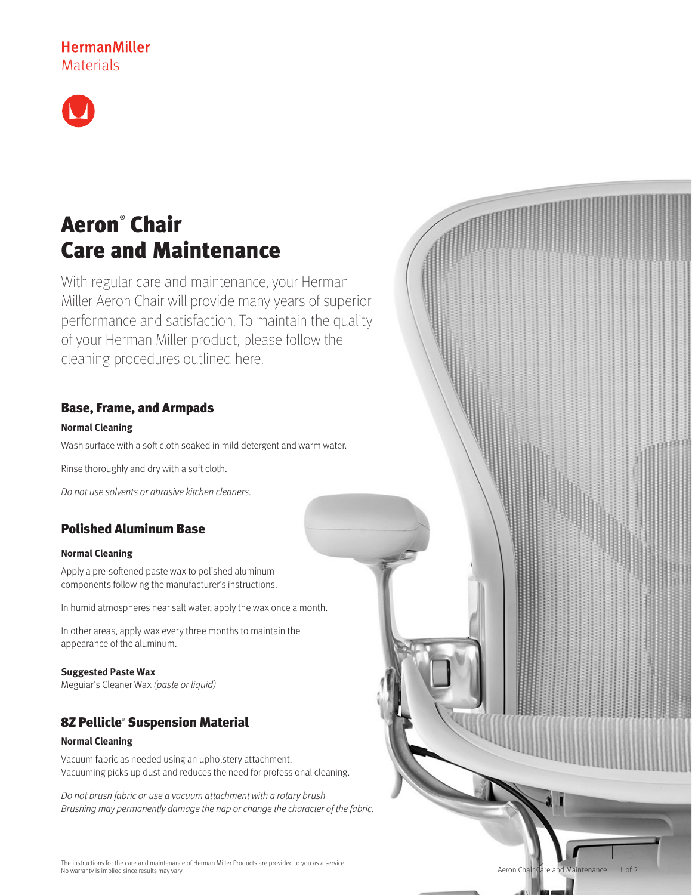# **HermanMiller Materials**



# Aeron® Chair Care and Maintenance

With regular care and maintenance, your Herman Miller Aeron Chair will provide many years of superior performance and satisfaction. To maintain the quality of your Herman Miller product, please follow the cleaning procedures outlined here.

# Base, Frame, and Armpads

## **Normal Cleaning**

Wash surface with a soft cloth soaked in mild detergent and warm water.

Rinse thoroughly and dry with a soft cloth.

Do not use solvents or abrasive kitchen cleaners.

# Polished Aluminum Base

## **Normal Cleaning**

Apply a pre-softened paste wax to polished aluminum components following the manufacturer's instructions.

In humid atmospheres near salt water, apply the wax once a month.

In other areas, apply wax every three months to maintain the appearance of the aluminum.

## **Suggested Paste Wax**

Meguiar's Cleaner Wax (paste or liquid)

# 8Z Pellicle® Suspension Material

## **Normal Cleaning**

Vacuum fabric as needed using an upholstery attachment. Vacuuming picks up dust and reduces the need for professional cleaning.

Do not brush fabric or use a vacuum attachment with a rotary brush Brushing may permanently damage the nap or change the character of the fabric.

The instructions for the care and maintenance of Herman Miller Products are provided to you as a service. No warranty is implied since results may vary.

Aeron Chair Care and Maintenance